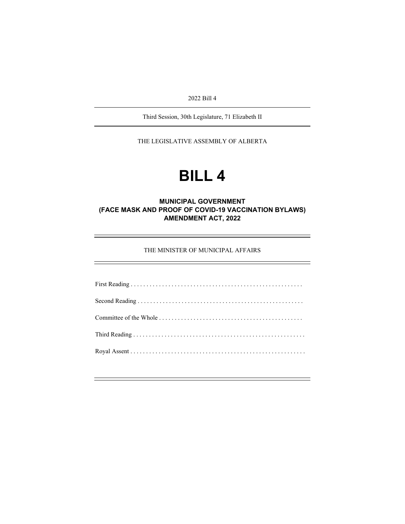2022 Bill 4

Third Session, 30th Legislature, 71 Elizabeth II

THE LEGISLATIVE ASSEMBLY OF ALBERTA

# **BILL 4**

## **MUNICIPAL GOVERNMENT (FACE MASK AND PROOF OF COVID-19 VACCINATION BYLAWS) AMENDMENT ACT, 2022**

THE MINISTER OF MUNICIPAL AFFAIRS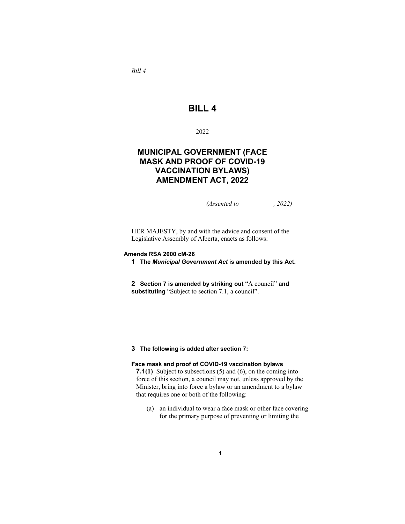*Bill 4*

# **BILL 4**

2022

# **MUNICIPAL GOVERNMENT (FACE MASK AND PROOF OF COVID-19 VACCINATION BYLAWS) AMENDMENT ACT, 2022**

*(Assented to , 2022)* 

HER MAJESTY, by and with the advice and consent of the Legislative Assembly of Alberta, enacts as follows:

#### **Amends RSA 2000 cM-26**

**1 The** *Municipal Government Act* **is amended by this Act.**

**2 Section 7 is amended by striking out** "A council" **and substituting** "Subject to section 7.1, a council".

#### **3 The following is added after section 7:**

#### **Face mask and proof of COVID-19 vaccination bylaws**

**7.1(1)** Subject to subsections (5) and (6), on the coming into force of this section, a council may not, unless approved by the Minister, bring into force a bylaw or an amendment to a bylaw that requires one or both of the following:

(a) an individual to wear a face mask or other face covering for the primary purpose of preventing or limiting the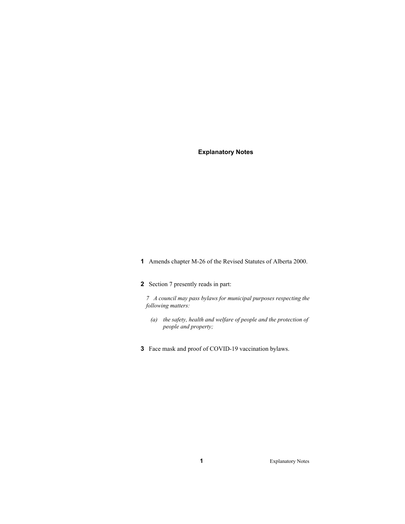### **Explanatory Notes**

**1** Amends chapter M-26 of the Revised Statutes of Alberta 2000.

## **2** Section 7 presently reads in part:

*7 A council may pass bylaws for municipal purposes respecting the following matters:* 

- *(a) the safety, health and welfare of people and the protection of people and property;*
- **3** Face mask and proof of COVID-19 vaccination bylaws.

**1** Explanatory Notes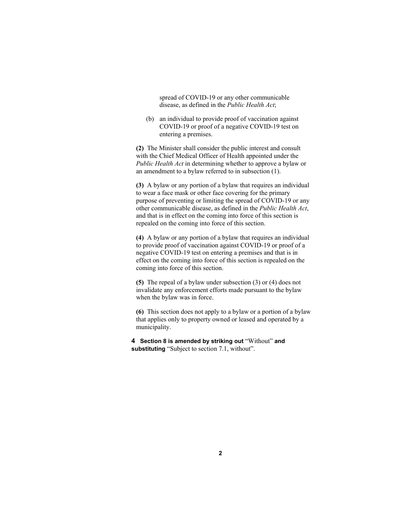spread of COVID-19 or any other communicable disease, as defined in the *Public Health Act*;

 (b) an individual to provide proof of vaccination against COVID-19 or proof of a negative COVID-19 test on entering a premises.

**(2)** The Minister shall consider the public interest and consult with the Chief Medical Officer of Health appointed under the *Public Health Act* in determining whether to approve a bylaw or an amendment to a bylaw referred to in subsection (1).

**(3)** A bylaw or any portion of a bylaw that requires an individual to wear a face mask or other face covering for the primary purpose of preventing or limiting the spread of COVID-19 or any other communicable disease, as defined in the *Public Health Act*, and that is in effect on the coming into force of this section is repealed on the coming into force of this section.

**(4)** A bylaw or any portion of a bylaw that requires an individual to provide proof of vaccination against COVID-19 or proof of a negative COVID-19 test on entering a premises and that is in effect on the coming into force of this section is repealed on the coming into force of this section.

**(5)** The repeal of a bylaw under subsection (3) or (4) does not invalidate any enforcement efforts made pursuant to the bylaw when the bylaw was in force.

**(6)** This section does not apply to a bylaw or a portion of a bylaw that applies only to property owned or leased and operated by a municipality.

**4 Section 8 is amended by striking out** "Without" **and substituting** "Subject to section 7.1, without".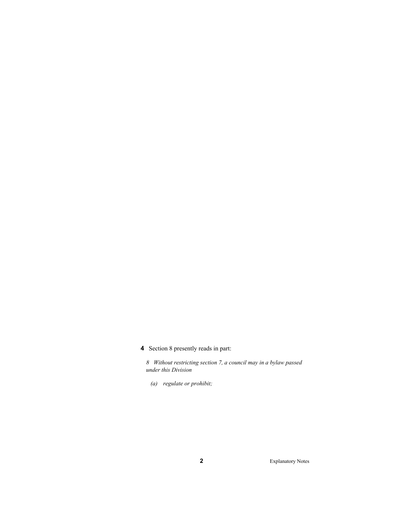**4** Section 8 presently reads in part:

*8 Without restricting section 7, a council may in a bylaw passed under this Division* 

 *(a) regulate or prohibit;* 

**2** Explanatory Notes